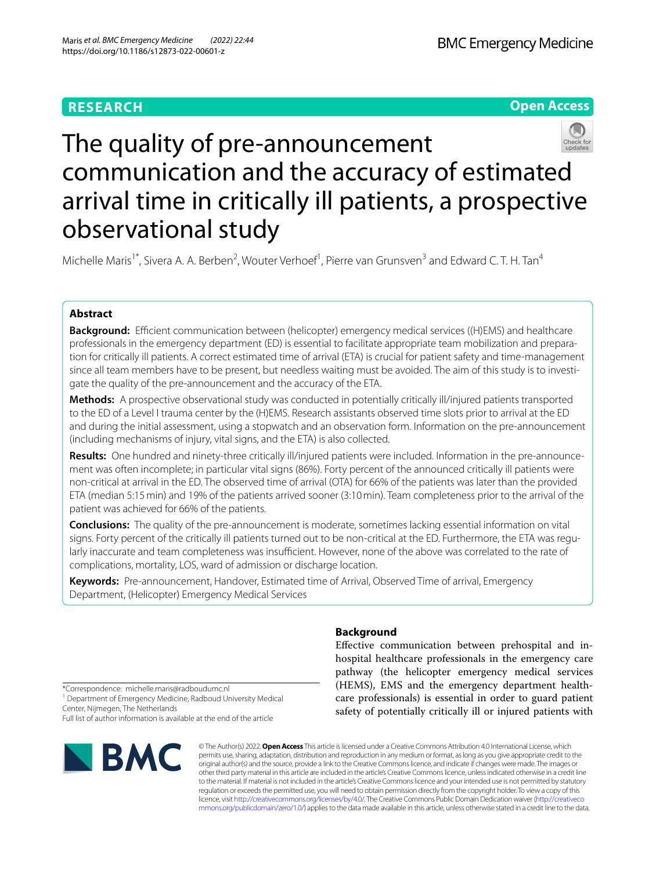# **Open Access**



# The quality of pre-announcement communication and the accuracy of estimated arrival time in critically ill patients, a prospective observational study

Michelle Maris<sup>1\*</sup>, Sivera A. A. Berben<sup>2</sup>, Wouter Verhoef<sup>1</sup>, Pierre van Grunsven<sup>3</sup> and Edward C. T. H. Tan<sup>4</sup>

# **Abstract**

**Background:** Efficient communication between (helicopter) emergency medical services ((H)EMS) and healthcare professionals in the emergency department (ED) is essential to facilitate appropriate team mobilization and preparation for critically ill patients. A correct estimated time of arrival (ETA) is crucial for patient safety and time-management since all team members have to be present, but needless waiting must be avoided. The aim of this study is to investigate the quality of the pre-announcement and the accuracy of the ETA.

**Methods:** A prospective observational study was conducted in potentially critically ill/injured patients transported to the ED of a Level I trauma center by the (H)EMS. Research assistants observed time slots prior to arrival at the ED and during the initial assessment, using a stopwatch and an observation form. Information on the pre-announcement (including mechanisms of injury, vital signs, and the ETA) is also collected.

**Results:** One hundred and ninety-three critically ill/injured patients were included. Information in the pre-announcement was often incomplete; in particular vital signs (86%). Forty percent of the announced critically ill patients were non-critical at arrival in the ED. The observed time of arrival (OTA) for 66% of the patients was later than the provided ETA (median 5:15min) and 19% of the patients arrived sooner (3:10min). Team completeness prior to the arrival of the patient was achieved for 66% of the patients.

**Conclusions:** The quality of the pre-announcement is moderate, sometimes lacking essential information on vital signs. Forty percent of the critically ill patients turned out to be non-critical at the ED. Furthermore, the ETA was regularly inaccurate and team completeness was insufficient. However, none of the above was correlated to the rate of complications, mortality, LOS, ward of admission or discharge location.

**Keywords:** Pre-announcement, Handover, Estimated time of Arrival, Observed Time of arrival, Emergency Department, (Helicopter) Emergency Medical Services

# **Background**

Efective communication between prehospital and inhospital healthcare professionals in the emergency care pathway (the helicopter emergency medical services (HEMS), EMS and the emergency department healthcare professionals) is essential in order to guard patient safety of potentially critically ill or injured patients with

\*Correspondence: michelle.maris@radboudumc.nl

<sup>1</sup> Department of Emergency Medicine, Radboud University Medical Center, Nijmegen, The Netherlands

Full list of author information is available at the end of the article



© The Author(s) 2022. **Open Access** This article is licensed under a Creative Commons Attribution 4.0 International License, which permits use, sharing, adaptation, distribution and reproduction in any medium or format, as long as you give appropriate credit to the original author(s) and the source, provide a link to the Creative Commons licence, and indicate if changes were made. The images or other third party material in this article are included in the article's Creative Commons licence, unless indicated otherwise in a credit line to the material. If material is not included in the article's Creative Commons licence and your intended use is not permitted by statutory regulation or exceeds the permitted use, you will need to obtain permission directly from the copyright holder. To view a copy of this licence, visit [http://creativecommons.org/licenses/by/4.0/.](http://creativecommons.org/licenses/by/4.0/) The Creative Commons Public Domain Dedication waiver ([http://creativeco](http://creativecommons.org/publicdomain/zero/1.0/) [mmons.org/publicdomain/zero/1.0/](http://creativecommons.org/publicdomain/zero/1.0/)) applies to the data made available in this article, unless otherwise stated in a credit line to the data.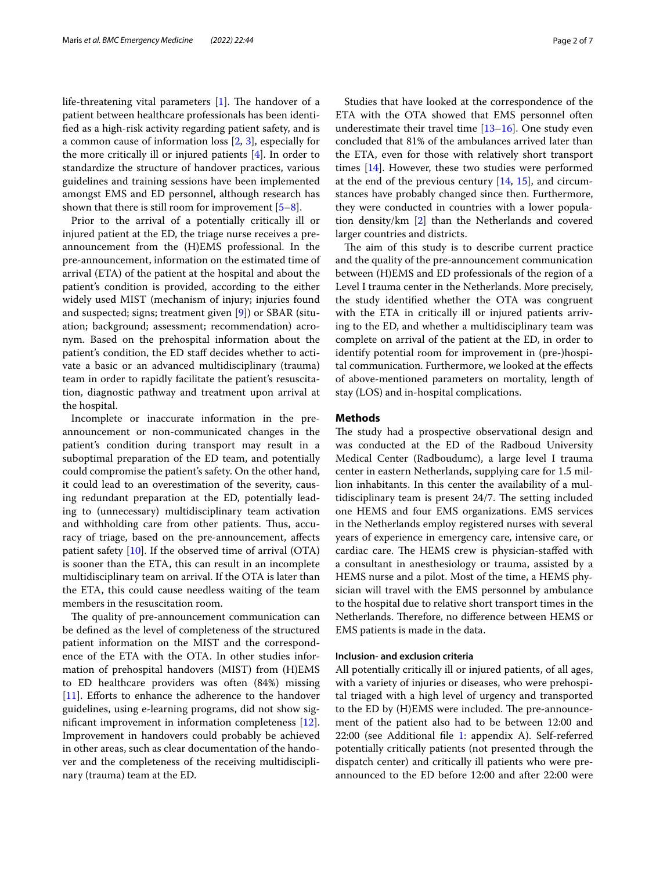life-threatening vital parameters  $[1]$  $[1]$ . The handover of a patient between healthcare professionals has been identifed as a high-risk activity regarding patient safety, and is a common cause of information loss [\[2](#page-5-1), [3](#page-5-2)], especially for the more critically ill or injured patients [\[4\]](#page-5-3). In order to standardize the structure of handover practices, various guidelines and training sessions have been implemented amongst EMS and ED personnel, although research has shown that there is still room for improvement  $[5-8]$  $[5-8]$  $[5-8]$ .

Prior to the arrival of a potentially critically ill or injured patient at the ED, the triage nurse receives a preannouncement from the (H)EMS professional. In the pre-announcement, information on the estimated time of arrival (ETA) of the patient at the hospital and about the patient's condition is provided, according to the either widely used MIST (mechanism of injury; injuries found and suspected; signs; treatment given [[9](#page-6-2)]) or SBAR (situation; background; assessment; recommendation) acronym. Based on the prehospital information about the patient's condition, the ED staf decides whether to activate a basic or an advanced multidisciplinary (trauma) team in order to rapidly facilitate the patient's resuscitation, diagnostic pathway and treatment upon arrival at the hospital.

Incomplete or inaccurate information in the preannouncement or non-communicated changes in the patient's condition during transport may result in a suboptimal preparation of the ED team, and potentially could compromise the patient's safety. On the other hand, it could lead to an overestimation of the severity, causing redundant preparation at the ED, potentially leading to (unnecessary) multidisciplinary team activation and withholding care from other patients. Thus, accuracy of triage, based on the pre-announcement, afects patient safety [[10\]](#page-6-3). If the observed time of arrival (OTA) is sooner than the ETA, this can result in an incomplete multidisciplinary team on arrival. If the OTA is later than the ETA, this could cause needless waiting of the team members in the resuscitation room.

The quality of pre-announcement communication can be defned as the level of completeness of the structured patient information on the MIST and the correspondence of the ETA with the OTA. In other studies information of prehospital handovers (MIST) from (H)EMS to ED healthcare providers was often (84%) missing [[11\]](#page-6-4). Efforts to enhance the adherence to the handover guidelines, using e-learning programs, did not show signifcant improvement in information completeness [\[12](#page-6-5)]. Improvement in handovers could probably be achieved in other areas, such as clear documentation of the handover and the completeness of the receiving multidisciplinary (trauma) team at the ED.

Studies that have looked at the correspondence of the ETA with the OTA showed that EMS personnel often underestimate their travel time  $[13-16]$  $[13-16]$  $[13-16]$ . One study even concluded that 81% of the ambulances arrived later than the ETA, even for those with relatively short transport times [\[14\]](#page-6-8). However, these two studies were performed at the end of the previous century [[14,](#page-6-8) [15](#page-6-9)], and circumstances have probably changed since then. Furthermore, they were conducted in countries with a lower population density/km [\[2](#page-5-1)] than the Netherlands and covered larger countries and districts.

The aim of this study is to describe current practice and the quality of the pre-announcement communication between (H)EMS and ED professionals of the region of a Level I trauma center in the Netherlands. More precisely, the study identifed whether the OTA was congruent with the ETA in critically ill or injured patients arriving to the ED, and whether a multidisciplinary team was complete on arrival of the patient at the ED, in order to identify potential room for improvement in (pre-)hospital communication. Furthermore, we looked at the efects of above-mentioned parameters on mortality, length of stay (LOS) and in-hospital complications.

# **Methods**

The study had a prospective observational design and was conducted at the ED of the Radboud University Medical Center (Radboudumc), a large level I trauma center in eastern Netherlands, supplying care for 1.5 million inhabitants. In this center the availability of a multidisciplinary team is present 24/7. The setting included one HEMS and four EMS organizations. EMS services in the Netherlands employ registered nurses with several years of experience in emergency care, intensive care, or cardiac care. The HEMS crew is physician-staffed with a consultant in anesthesiology or trauma, assisted by a HEMS nurse and a pilot. Most of the time, a HEMS physician will travel with the EMS personnel by ambulance to the hospital due to relative short transport times in the Netherlands. Therefore, no difference between HEMS or EMS patients is made in the data.

# **Inclusion‑ and exclusion criteria**

All potentially critically ill or injured patients, of all ages, with a variety of injuries or diseases, who were prehospital triaged with a high level of urgency and transported to the ED by (H)EMS were included. The pre-announcement of the patient also had to be between 12:00 and 22:00 (see Additional fle [1](#page-5-4): appendix A). Self-referred potentially critically patients (not presented through the dispatch center) and critically ill patients who were preannounced to the ED before 12:00 and after 22:00 were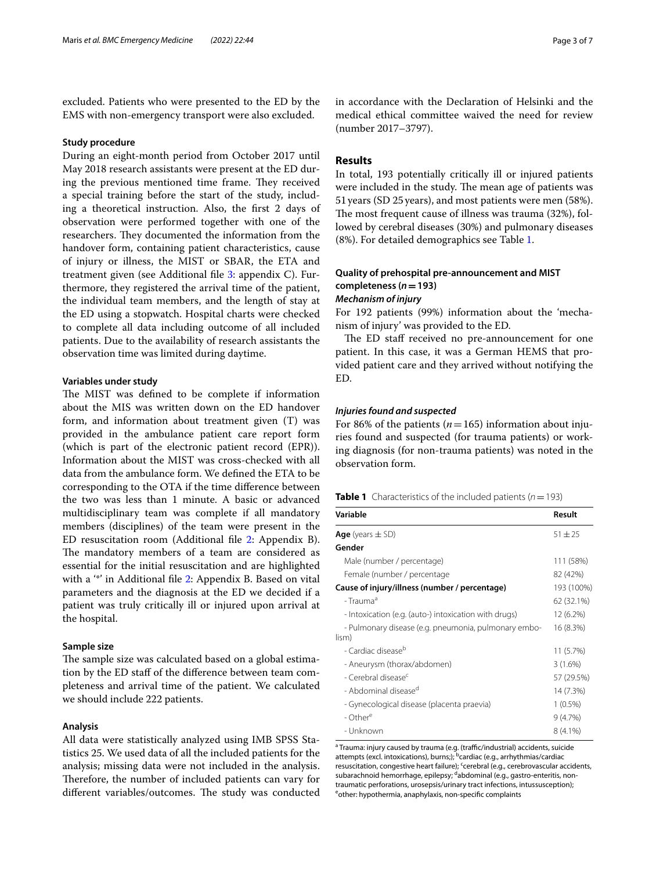excluded. Patients who were presented to the ED by the EMS with non-emergency transport were also excluded.

# **Study procedure**

During an eight-month period from October 2017 until May 2018 research assistants were present at the ED during the previous mentioned time frame. They received a special training before the start of the study, including a theoretical instruction. Also, the frst 2 days of observation were performed together with one of the researchers. They documented the information from the handover form, containing patient characteristics, cause of injury or illness, the MIST or SBAR, the ETA and treatment given (see Additional fle [3:](#page-5-5) appendix C). Furthermore, they registered the arrival time of the patient, the individual team members, and the length of stay at the ED using a stopwatch. Hospital charts were checked to complete all data including outcome of all included patients. Due to the availability of research assistants the observation time was limited during daytime.

### **Variables under study**

The MIST was defined to be complete if information about the MIS was written down on the ED handover form, and information about treatment given (T) was provided in the ambulance patient care report form (which is part of the electronic patient record (EPR)). Information about the MIST was cross-checked with all data from the ambulance form. We defned the ETA to be corresponding to the OTA if the time diference between the two was less than 1 minute. A basic or advanced multidisciplinary team was complete if all mandatory members (disciplines) of the team were present in the ED resuscitation room (Additional fle [2:](#page-5-6) Appendix B). The mandatory members of a team are considered as essential for the initial resuscitation and are highlighted with a "\*" in Additional file [2](#page-5-6): Appendix B. Based on vital parameters and the diagnosis at the ED we decided if a patient was truly critically ill or injured upon arrival at the hospital.

# **Sample size**

The sample size was calculated based on a global estimation by the ED staf of the diference between team completeness and arrival time of the patient. We calculated we should include 222 patients.

# **Analysis**

All data were statistically analyzed using IMB SPSS Statistics 25. We used data of all the included patients for the analysis; missing data were not included in the analysis. Therefore, the number of included patients can vary for different variables/outcomes. The study was conducted in accordance with the Declaration of Helsinki and the medical ethical committee waived the need for review (number 2017–3797).

# **Results**

In total, 193 potentially critically ill or injured patients were included in the study. The mean age of patients was 51years (SD 25years), and most patients were men (58%). The most frequent cause of illness was trauma (32%), followed by cerebral diseases (30%) and pulmonary diseases (8%). For detailed demographics see Table [1](#page-2-0).

# **Quality of prehospital pre‑announcement and MIST completeness (***n***=193)** *Mechanism of injury*

For 192 patients (99%) information about the 'mechanism of injury' was provided to the ED.

The ED staff received no pre-announcement for one patient. In this case, it was a German HEMS that provided patient care and they arrived without notifying the ED.

### *Injuries found and suspected*

For 86% of the patients ( $n=165$ ) information about injuries found and suspected (for trauma patients) or working diagnosis (for non-trauma patients) was noted in the observation form.

<span id="page-2-0"></span>

|  | <b>Table 1</b> Characteristics of the included patients ( $n = 193$ ) |  |  |  |  |  |
|--|-----------------------------------------------------------------------|--|--|--|--|--|
|--|-----------------------------------------------------------------------|--|--|--|--|--|

| Variable                                                      | Result      |
|---------------------------------------------------------------|-------------|
| <b>Age</b> (years $\pm$ SD)                                   | $51 \pm 25$ |
| Gender                                                        |             |
| Male (number / percentage)                                    | 111 (58%)   |
| Female (number / percentage                                   | 82 (42%)    |
| Cause of injury/illness (number / percentage)                 | 193 (100%)  |
| - Trauma <sup>a</sup>                                         | 62 (32.1%)  |
| - Intoxication (e.g. (auto-) intoxication with drugs)         | 12 (6.2%)   |
| - Pulmonary disease (e.g. pneumonia, pulmonary embo-<br>lism) | 16 (8.3%)   |
| - Cardiac disease <sup>b</sup>                                | 11 (5.7%)   |
| - Aneurysm (thorax/abdomen)                                   | 3(1.6%)     |
| - Cerebral disease <sup>c</sup>                               | 57 (29.5%)  |
| - Abdominal disease <sup>d</sup>                              | 14 (7.3%)   |
| - Gynecological disease (placenta praevia)                    | $1(0.5\%)$  |
| - Other <sup>e</sup>                                          | 9(4.7%)     |
| - Unknown                                                     | $8(4.1\%)$  |

<sup>a</sup> Trauma: injury caused by trauma (e.g. (traffic/industrial) accidents, suicide attempts (excl. intoxications), burns;); <sup>b</sup>cardiac (e.g., arrhythmias/cardiac resuscitation, congestive heart failure); cerebral (e.g., cerebrovascular accidents, subarachnoid hemorrhage, epilepsy; dabdominal (e.g., gastro-enteritis, nontraumatic perforations, urosepsis/urinary tract infections, intussusception); eother: hypothermia, anaphylaxis, non-specific complaints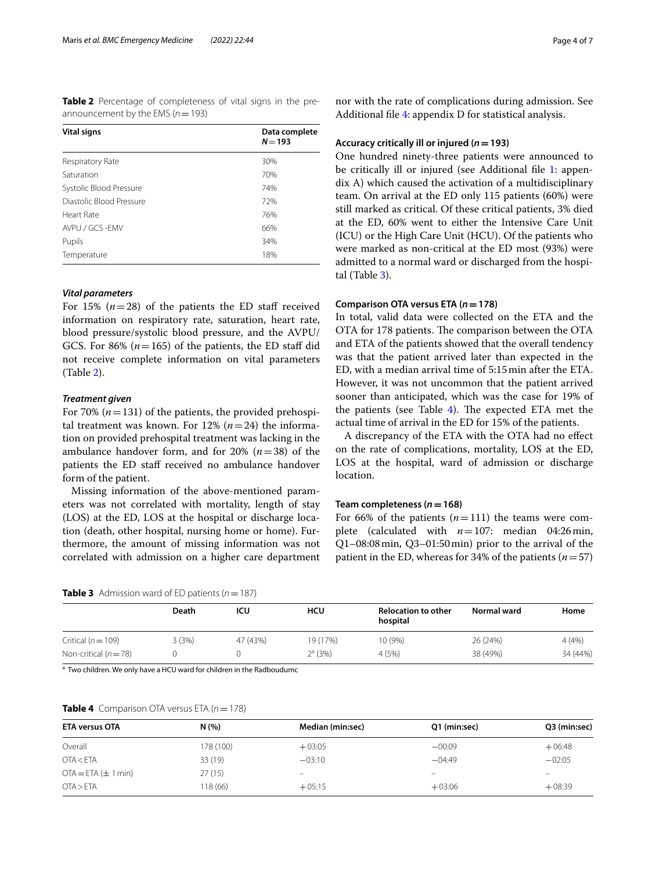<span id="page-3-0"></span>**Table 2** Percentage of completeness of vital signs in the preannouncement by the EMS (*n*=193)

| <b>Vital signs</b>       | Data complete<br>$N = 193$ |  |  |
|--------------------------|----------------------------|--|--|
| Respiratory Rate         | 30%                        |  |  |
| Saturation               | 70%                        |  |  |
| Systolic Blood Pressure  | 74%                        |  |  |
| Diastolic Blood Pressure | 72%                        |  |  |
| Heart Rate               | 76%                        |  |  |
| AVPU / GCS -EMV          | 66%                        |  |  |
| Pupils                   | 34%                        |  |  |
| Temperature              | 18%                        |  |  |

# *Vital parameters*

For 15%  $(n=28)$  of the patients the ED staff received information on respiratory rate, saturation, heart rate, blood pressure/systolic blood pressure, and the AVPU/ GCS. For 86%  $(n=165)$  of the patients, the ED staff did not receive complete information on vital parameters (Table [2](#page-3-0)).

#### *Treatment given*

For 70%  $(n=131)$  of the patients, the provided prehospital treatment was known. For 12%  $(n=24)$  the information on provided prehospital treatment was lacking in the ambulance handover form, and for 20% (*n*=38) of the patients the ED staff received no ambulance handover form of the patient.

Missing information of the above-mentioned parameters was not correlated with mortality, length of stay (LOS) at the ED, LOS at the hospital or discharge location (death, other hospital, nursing home or home). Furthermore, the amount of missing information was not correlated with admission on a higher care department

<span id="page-3-1"></span>**Table 3** Admission ward of ED patients ( $n = 187$ )

nor with the rate of complications during admission. See Additional fle [4](#page-5-7): appendix D for statistical analysis.

#### **Accuracy critically ill or injured (***n***=193)**

One hundred ninety-three patients were announced to be critically ill or injured (see Additional file [1:](#page-5-4) appendix A) which caused the activation of a multidisciplinary team. On arrival at the ED only 115 patients (60%) were still marked as critical. Of these critical patients, 3% died at the ED, 60% went to either the Intensive Care Unit (ICU) or the High Care Unit (HCU). Of the patients who were marked as non-critical at the ED most (93%) were admitted to a normal ward or discharged from the hospital (Table [3](#page-3-1)).

# **Comparison OTA versus ETA (***n***=178)**

In total, valid data were collected on the ETA and the OTA for 178 patients. The comparison between the OTA and ETA of the patients showed that the overall tendency was that the patient arrived later than expected in the ED, with a median arrival time of 5:15min after the ETA. However, it was not uncommon that the patient arrived sooner than anticipated, which was the case for 19% of the patients (see Table  $4$ ). The expected ETA met the actual time of arrival in the ED for 15% of the patients.

A discrepancy of the ETA with the OTA had no efect on the rate of complications, mortality, LOS at the ED, LOS at the hospital, ward of admission or discharge location.

# **Team completeness (***n***=168)**

For 66% of the patients  $(n=111)$  the teams were complete (calculated with *n*=107: median 04:26min, Q1–08:08min, Q3–01:50min) prior to the arrival of the patient in the ED, whereas for 34% of the patients (*n*=57)

|                        | Death | ICU      | <b>HCU</b> | <b>Relocation to other</b><br>hospital | Normal ward | Home     |
|------------------------|-------|----------|------------|----------------------------------------|-------------|----------|
| Critical ( $n = 109$ ) | 3(3%) | 47 (43%) | 19 (17%)   | 10 (9%)                                | 26 (24%)    | 4(4%)    |
| Non-critical $(n=78)$  |       |          | $2^a$ (3%) | 4(5%)                                  | 38 (49%)    | 34 (44%) |

<sup>a</sup> Two children. We only have a HCU ward for children in the Radboudumc

#### <span id="page-3-2"></span>**Table 4** Comparison OTA versus ETA  $(n = 178)$

| <b>ETA versus OTA</b>   | N(%)      | Median (min:sec) | Q1 (min:sec) | Q3 (min:sec) |  |
|-------------------------|-----------|------------------|--------------|--------------|--|
| Overall                 | 178 (100) | $+03:05$         | $-00:09$     | $+06:48$     |  |
| OTA < ETA               | 33 (19)   | $-03:10$         | $-04:49$     | $-02:05$     |  |
| $OTA = ETA (\pm 1 min)$ | 27(15)    |                  | -            |              |  |
| OTA > ETA               | 118 (66)  | $+05:15$         | $+03:06$     | $+08:39$     |  |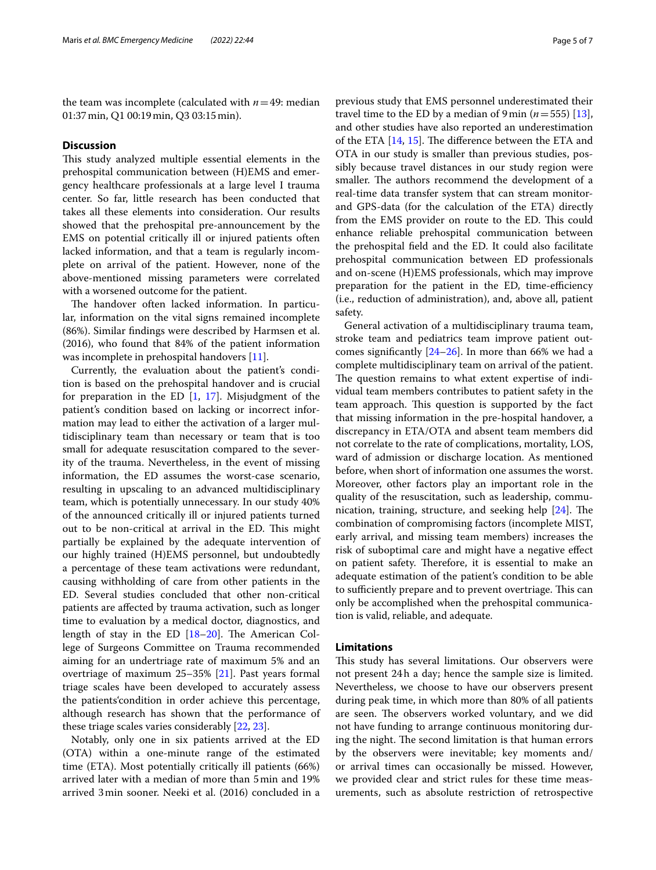the team was incomplete (calculated with  $n=49$ : median 01:37min, Q1 00:19min, Q3 03:15min).

# **Discussion**

This study analyzed multiple essential elements in the prehospital communication between (H)EMS and emergency healthcare professionals at a large level I trauma center. So far, little research has been conducted that takes all these elements into consideration. Our results showed that the prehospital pre-announcement by the EMS on potential critically ill or injured patients often lacked information, and that a team is regularly incomplete on arrival of the patient. However, none of the above-mentioned missing parameters were correlated with a worsened outcome for the patient.

The handover often lacked information. In particular, information on the vital signs remained incomplete (86%). Similar fndings were described by Harmsen et al. (2016), who found that 84% of the patient information was incomplete in prehospital handovers [[11\]](#page-6-4).

Currently, the evaluation about the patient's condition is based on the prehospital handover and is crucial for preparation in the ED  $[1, 17]$  $[1, 17]$  $[1, 17]$  $[1, 17]$  $[1, 17]$ . Misjudgment of the patient's condition based on lacking or incorrect information may lead to either the activation of a larger multidisciplinary team than necessary or team that is too small for adequate resuscitation compared to the severity of the trauma. Nevertheless, in the event of missing information, the ED assumes the worst-case scenario, resulting in upscaling to an advanced multidisciplinary team, which is potentially unnecessary. In our study 40% of the announced critically ill or injured patients turned out to be non-critical at arrival in the ED. This might partially be explained by the adequate intervention of our highly trained (H)EMS personnel, but undoubtedly a percentage of these team activations were redundant, causing withholding of care from other patients in the ED. Several studies concluded that other non-critical patients are afected by trauma activation, such as longer time to evaluation by a medical doctor, diagnostics, and length of stay in the ED  $[18–20]$  $[18–20]$  $[18–20]$  $[18–20]$ . The American College of Surgeons Committee on Trauma recommended aiming for an undertriage rate of maximum 5% and an overtriage of maximum 25–35% [[21\]](#page-6-13). Past years formal triage scales have been developed to accurately assess the patients'condition in order achieve this percentage, although research has shown that the performance of these triage scales varies considerably [\[22](#page-6-14), [23](#page-6-15)].

Notably, only one in six patients arrived at the ED (OTA) within a one-minute range of the estimated time (ETA). Most potentially critically ill patients (66%) arrived later with a median of more than 5min and 19% arrived 3min sooner. Neeki et al. (2016) concluded in a previous study that EMS personnel underestimated their travel time to the ED by a median of  $9 \text{ min } (n = 555)$  [\[13](#page-6-6)], and other studies have also reported an underestimation of the ETA  $[14, 15]$  $[14, 15]$  $[14, 15]$  $[14, 15]$ . The difference between the ETA and OTA in our study is smaller than previous studies, possibly because travel distances in our study region were smaller. The authors recommend the development of a real-time data transfer system that can stream monitorand GPS-data (for the calculation of the ETA) directly from the EMS provider on route to the ED. This could enhance reliable prehospital communication between the prehospital feld and the ED. It could also facilitate prehospital communication between ED professionals and on-scene (H)EMS professionals, which may improve preparation for the patient in the ED, time-efficiency (i.e., reduction of administration), and, above all, patient safety.

General activation of a multidisciplinary trauma team, stroke team and pediatrics team improve patient outcomes significantly  $[24–26]$  $[24–26]$  $[24–26]$ . In more than 66% we had a complete multidisciplinary team on arrival of the patient. The question remains to what extent expertise of individual team members contributes to patient safety in the team approach. This question is supported by the fact that missing information in the pre-hospital handover, a discrepancy in ETA/OTA and absent team members did not correlate to the rate of complications, mortality, LOS, ward of admission or discharge location. As mentioned before, when short of information one assumes the worst. Moreover, other factors play an important role in the quality of the resuscitation, such as leadership, communication, training, structure, and seeking help  $[24]$ . The combination of compromising factors (incomplete MIST, early arrival, and missing team members) increases the risk of suboptimal care and might have a negative efect on patient safety. Therefore, it is essential to make an adequate estimation of the patient's condition to be able to sufficiently prepare and to prevent overtriage. This can only be accomplished when the prehospital communication is valid, reliable, and adequate.

# **Limitations**

This study has several limitations. Our observers were not present 24h a day; hence the sample size is limited. Nevertheless, we choose to have our observers present during peak time, in which more than 80% of all patients are seen. The observers worked voluntary, and we did not have funding to arrange continuous monitoring during the night. The second limitation is that human errors by the observers were inevitable; key moments and/ or arrival times can occasionally be missed. However, we provided clear and strict rules for these time measurements, such as absolute restriction of retrospective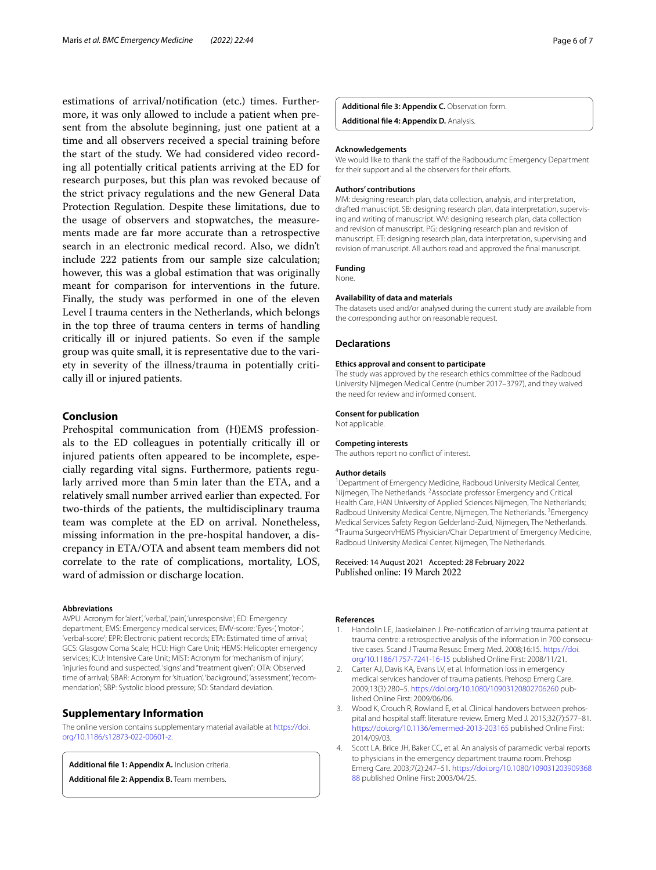estimations of arrival/notifcation (etc.) times. Furthermore, it was only allowed to include a patient when present from the absolute beginning, just one patient at a time and all observers received a special training before the start of the study. We had considered video recording all potentially critical patients arriving at the ED for research purposes, but this plan was revoked because of the strict privacy regulations and the new General Data Protection Regulation. Despite these limitations, due to the usage of observers and stopwatches, the measurements made are far more accurate than a retrospective search in an electronic medical record. Also, we didn't include 222 patients from our sample size calculation; however, this was a global estimation that was originally meant for comparison for interventions in the future. Finally, the study was performed in one of the eleven Level I trauma centers in the Netherlands, which belongs in the top three of trauma centers in terms of handling critically ill or injured patients. So even if the sample group was quite small, it is representative due to the variety in severity of the illness/trauma in potentially critically ill or injured patients.

# **Conclusion**

Prehospital communication from (H)EMS professionals to the ED colleagues in potentially critically ill or injured patients often appeared to be incomplete, especially regarding vital signs. Furthermore, patients regularly arrived more than 5min later than the ETA, and a relatively small number arrived earlier than expected. For two-thirds of the patients, the multidisciplinary trauma team was complete at the ED on arrival. Nonetheless, missing information in the pre-hospital handover, a discrepancy in ETA/OTA and absent team members did not correlate to the rate of complications, mortality, LOS, ward of admission or discharge location.

#### **Abbreviations**

AVPU: Acronym for 'alert', 'verbal', 'pain', 'unresponsive'; ED: Emergency department; EMS: Emergency medical services; EMV-score: 'Eyes-', 'motor-', 'verbal-score'; EPR: Electronic patient records; ETA: Estimated time of arrival; GCS: Glasgow Coma Scale; HCU: High Care Unit; HEMS: Helicopter emergency services; ICU: Intensive Care Unit; MIST: Acronym for 'mechanism of injury', 'injuries found and suspected', 'signs' and "treatment given"; OTA: Observed time of arrival; SBAR: Acronym for 'situation', 'background', 'assessment', 'recommendation'; SBP: Systolic blood pressure; SD: Standard deviation.

# **Supplementary Information**

The online version contains supplementary material available at [https://doi.](https://doi.org/10.1186/s12873-022-00601-z) [org/10.1186/s12873-022-00601-z.](https://doi.org/10.1186/s12873-022-00601-z)

<span id="page-5-4"></span>**Additional fle 1: Appendix A.** Inclusion criteria.

**Additional fle 2: Appendix B.** Team members.

<span id="page-5-7"></span>**Additional fle 3: Appendix C.** Observation form. **Additional fle 4: Appendix D.** Analysis.

#### **Acknowledgements**

We would like to thank the staff of the Radboudumc Emergency Department for their support and all the observers for their efforts.

#### **Authors' contributions**

MM: designing research plan, data collection, analysis, and interpretation, drafted manuscript. SB: designing research plan, data interpretation, supervising and writing of manuscript. WV: designing research plan, data collection and revision of manuscript. PG: designing research plan and revision of manuscript. ET: designing research plan, data interpretation, supervising and revision of manuscript. All authors read and approved the fnal manuscript.

# **Funding**

None.

# **Availability of data and materials**

The datasets used and/or analysed during the current study are available from the corresponding author on reasonable request.

# **Declarations**

#### **Ethics approval and consent to participate**

The study was approved by the research ethics committee of the Radboud University Nijmegen Medical Centre (number 2017–3797), and they waived the need for review and informed consent.

#### **Consent for publication**

Not applicable.

#### **Competing interests**

The authors report no confict of interest.

#### **Author details**

<sup>1</sup> Department of Emergency Medicine, Radboud University Medical Center, Nijmegen, The Netherlands. <sup>2</sup> Associate professor Emergency and Critical Health Care, HAN University of Applied Sciences Nijmegen, The Netherlands; Radboud University Medical Centre, Nijmegen, The Netherlands. <sup>3</sup>Emergency Medical Services Safety Region Gelderland-Zuid, Nijmegen, The Netherlands. 4 Trauma Surgeon/HEMS Physician/Chair Department of Emergency Medicine, Radboud University Medical Center, Nijmegen, The Netherlands.

# Received: 14 August 2021 Accepted: 28 February 2022<br>Published online: 19 March 2022

#### **References**

- <span id="page-5-0"></span>1. Handolin LE, Jaaskelainen J. Pre-notifcation of arriving trauma patient at trauma centre: a retrospective analysis of the information in 700 consecutive cases. Scand J Trauma Resusc Emerg Med. 2008;16:15. [https://doi.](https://doi.org/10.1186/1757-7241-16-15) [org/10.1186/1757-7241-16-15](https://doi.org/10.1186/1757-7241-16-15) published Online First: 2008/11/21.
- <span id="page-5-1"></span>2. Carter AJ, Davis KA, Evans LV, et al. Information loss in emergency medical services handover of trauma patients. Prehosp Emerg Care. 2009;13(3):280–5.<https://doi.org/10.1080/10903120802706260> published Online First: 2009/06/06.
- <span id="page-5-2"></span>3. Wood K, Crouch R, Rowland E, et al. Clinical handovers between prehospital and hospital staff: literature review. Emerg Med J. 2015;32(7):577-81. <https://doi.org/10.1136/emermed-2013-203165> published Online First: 2014/09/03.
- <span id="page-5-6"></span><span id="page-5-5"></span><span id="page-5-3"></span>4. Scott LA, Brice JH, Baker CC, et al. An analysis of paramedic verbal reports to physicians in the emergency department trauma room. Prehosp Emerg Care. 2003;7(2):247–51. [https://doi.org/10.1080/109031203909368](https://doi.org/10.1080/10903120390936888) [88](https://doi.org/10.1080/10903120390936888) published Online First: 2003/04/25.